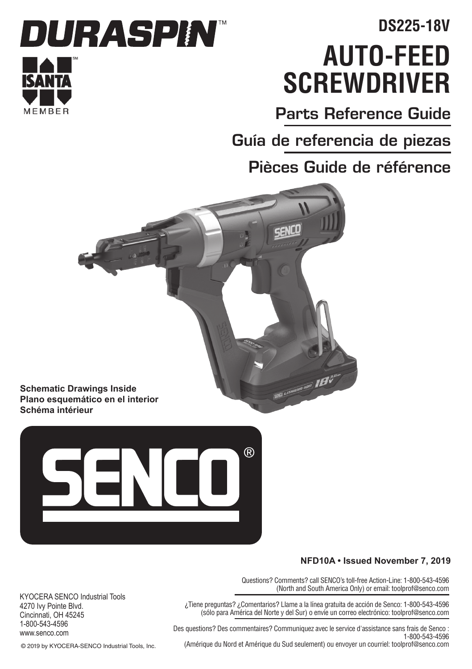# **Auto-Feed Screwdriver DS225-18V**

Parts Reference Guide

Guía de referencia de piezas

Pièces Guide de référence





#### **NFD10A • Issued November 7, 2019**

Questions? Comments? call SENCO's toll-free Action-Line: 1-800-543-4596 (North and South America Only) or email: toolprof@senco.com

¿Tiene preguntas? ¿Comentarios? Llame a la línea gratuita de acción de Senco: 1-800-543-4596 (sólo para América del Norte y del Sur) o envíe un correo electrónico: toolprof@senco.com

Des questions? Des commentaires? Communiquez avec le service d'assistance sans frais de Senco : 1-800-543-4596

KYOCERA SENCO Industrial Tools 4270 Ivy Pointe Blvd. Cincinnati, OH 45245 1-800-543-4596 www.senco.com

(Amérique du Nord et Amérique du Sud seulement) ou envoyer un courriel: toolprof@senco.com

© 2019 by KYOCERA-SENCO Industrial Tools, Inc.

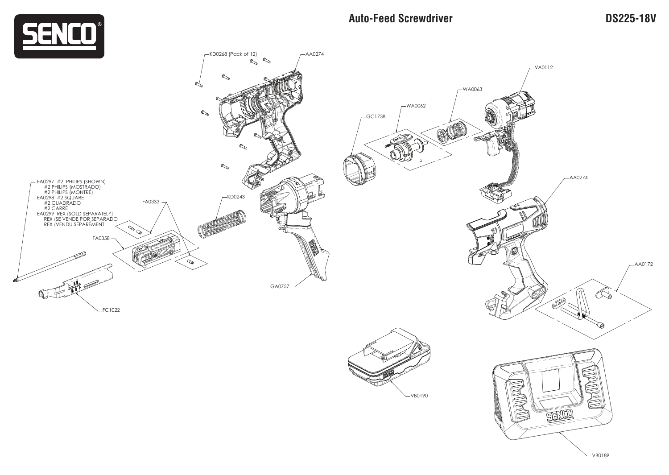

## **Auto-Feed Screwdriver DS225-18V**

VB0189